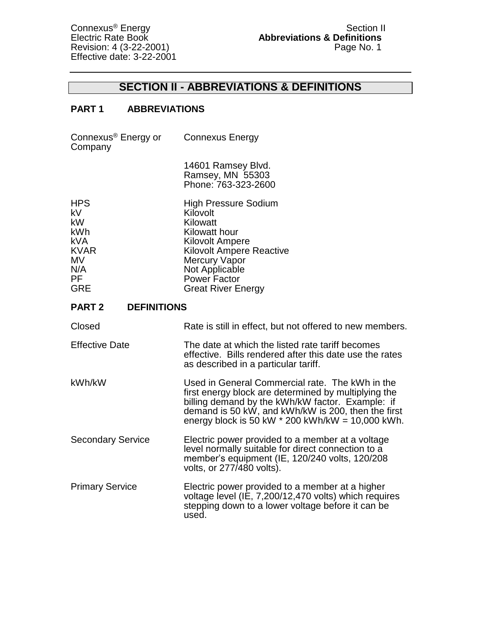Effective date: 3-22-2001

## **SECTION II - ABBREVIATIONS & DEFINITIONS**

## **PART 1 ABBREVIATIONS**

| Connexus <sup>®</sup> Energy or<br>Company                                                  | <b>Connexus Energy</b>                                                                                                                                                                                                                                                  |
|---------------------------------------------------------------------------------------------|-------------------------------------------------------------------------------------------------------------------------------------------------------------------------------------------------------------------------------------------------------------------------|
|                                                                                             | 14601 Ramsey Blvd.<br>Ramsey, MN 55303<br>Phone: 763-323-2600                                                                                                                                                                                                           |
| <b>HPS</b><br>kV<br>kW<br>kWh<br><b>kVA</b><br><b>KVAR</b><br>MV<br>N/A<br>PF<br><b>GRE</b> | <b>High Pressure Sodium</b><br>Kilovolt<br>Kilowatt<br>Kilowatt hour<br><b>Kilovolt Ampere</b><br><b>Kilovolt Ampere Reactive</b><br><b>Mercury Vapor</b><br>Not Applicable<br>Power Factor<br><b>Great River Energy</b>                                                |
| <b>PART 2</b><br><b>DEFINITIONS</b>                                                         |                                                                                                                                                                                                                                                                         |
| Closed                                                                                      | Rate is still in effect, but not offered to new members.                                                                                                                                                                                                                |
| <b>Effective Date</b>                                                                       | The date at which the listed rate tariff becomes<br>effective. Bills rendered after this date use the rates<br>as described in a particular tariff.                                                                                                                     |
| kWh/kW                                                                                      | Used in General Commercial rate. The kWh in the<br>first energy block are determined by multiplying the<br>billing demand by the kWh/kW factor. Example: if<br>demand is 50 kW, and kWh/kW is 200, then the first<br>energy block is 50 kW $*$ 200 kWh/kW = 10,000 kWh. |
| <b>Secondary Service</b>                                                                    | Electric power provided to a member at a voltage<br>level normally suitable for direct connection to a<br>member's equipment (IE, 120/240 volts, 120/208<br>volts, or 277/480 volts).                                                                                   |
| <b>Primary Service</b>                                                                      | Electric power provided to a member at a higher<br>voltage level (IE, 7,200/12,470 volts) which requires<br>stepping down to a lower voltage before it can be<br>used.                                                                                                  |